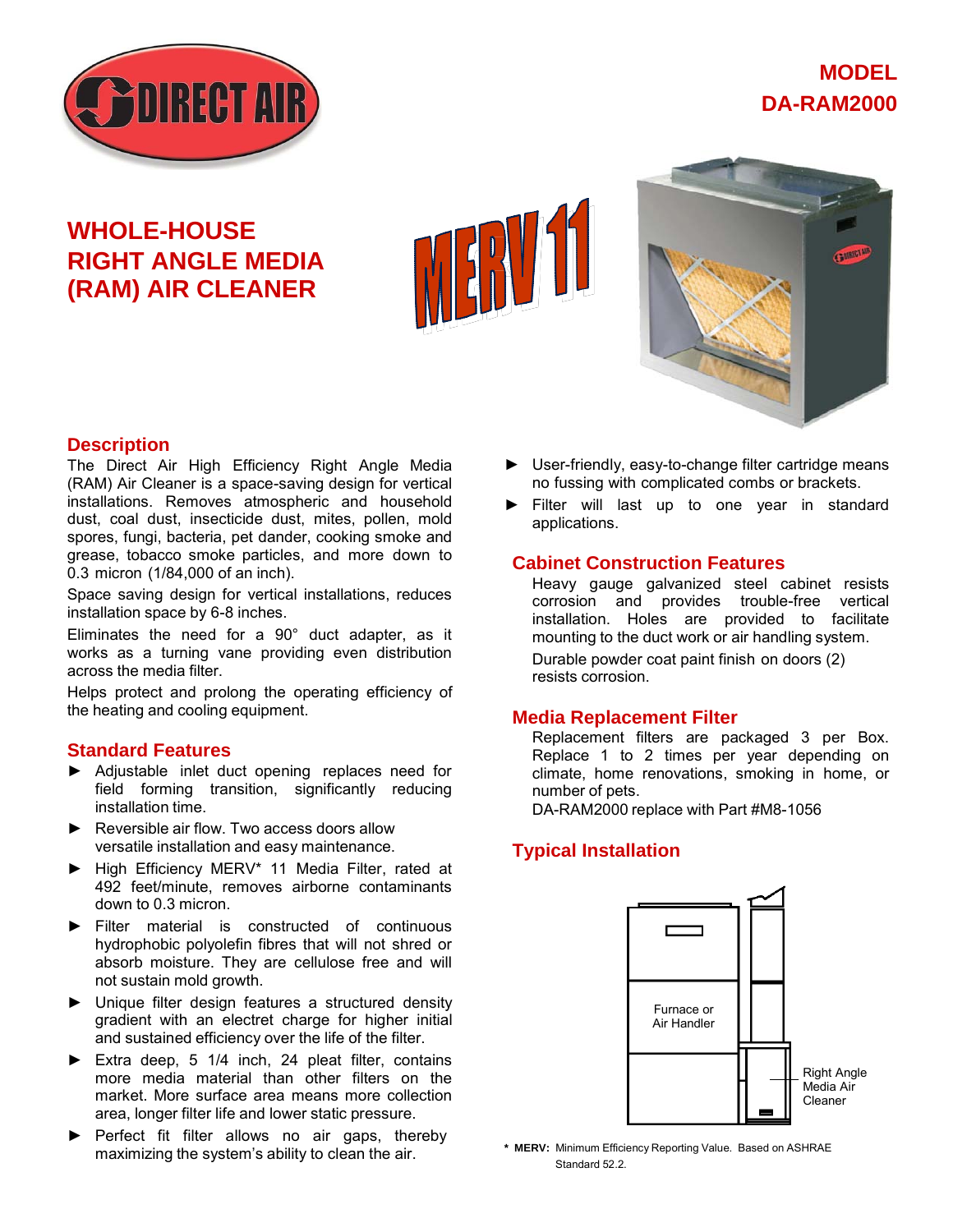

# **MODEL DA-RAM2000**

# **WHOLE-HOUSE RIGHT ANGLE MEDIA (RAM) AIR CLEANER**



### **Description**

The Direct Air High Efficiency Right Angle Media (RAM) Air Cleaner is a space-saving design for vertical installations. Removes atmospheric and household dust, coal dust, insecticide dust, mites, pollen, mold spores, fungi, bacteria, pet dander, cooking smoke and grease, tobacco smoke particles, and more down to 0.3 micron (1/84,000 of an inch).

Space saving design for vertical installations, reduces installation space by 6-8 inches.

Eliminates the need for a 90° duct adapter, as it works as a turning vane providing even distribution across the media filter.

Helps protect and prolong the operating efficiency of the heating and cooling equipment.

#### **Standard Features**

- ► Adjustable inlet duct opening replaces need for field forming transition, significantly reducing installation time.
- ► Reversible air flow. Two access doors allow versatile installation and easy maintenance.
- ► High Efficiency MERV\* 11 Media Filter, rated at 492 feet/minute, removes airborne contaminants down to 0.3 micron.
- ► Filter material is constructed of continuous hydrophobic polyolefin fibres that will not shred or absorb moisture. They are cellulose free and will not sustain mold growth.
- ► Unique filter design features a structured density gradient with an electret charge for higher initial and sustained efficiency over the life of the filter.
- ► Extra deep, 5 1/4 inch, 24 pleat filter, contains more media material than other filters on the market. More surface area means more collection area, longer filter life and lower static pressure.
- ► Perfect fit filter allows no air gaps, thereby maximizing the system's ability to clean the air.
- ► User-friendly, easy-to-change filter cartridge means no fussing with complicated combs or brackets.
- ► Filter will last up to one year in standard applications.

#### **Cabinet Construction Features**

Heavy gauge galvanized steel cabinet resists corrosion and provides trouble-free vertical installation. Holes are provided to facilitate mounting to the duct work or air handling system. Durable powder coat paint finish on doors (2) resists corrosion.

#### **Media Replacement Filter**

Replacement filters are packaged 3 per Box. Replace 1 to 2 times per year depending on climate, home renovations, smoking in home, or number of pets.

DA-RAM2000 replace with Part #M8-1056

#### **Typical Installation**



**\* MERV:** Minimum Efficiency Reporting Value. Based on ASHRAE Standard 52.2.